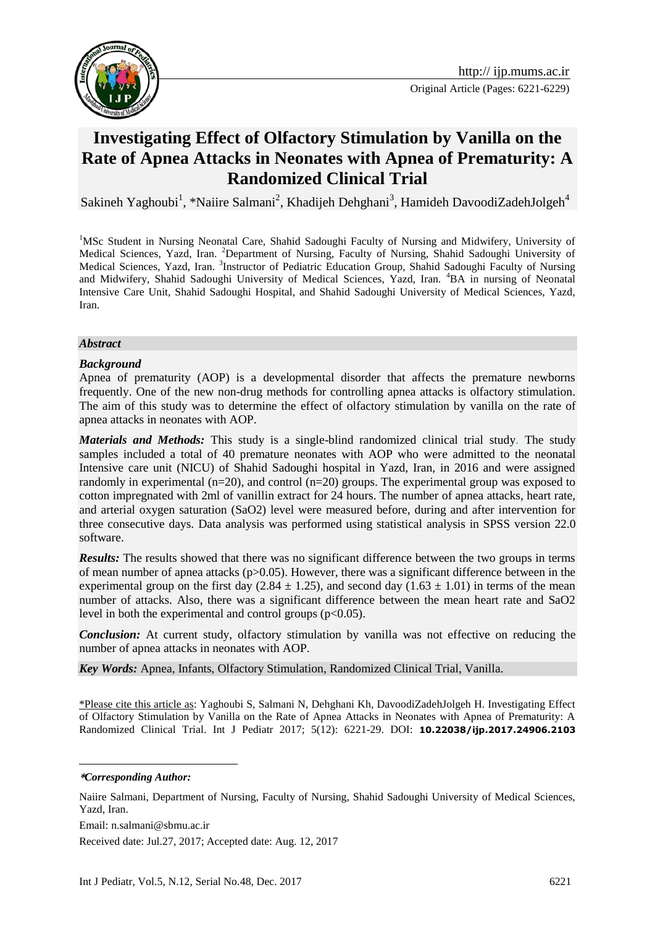

# **Investigating Effect of Olfactory Stimulation by Vanilla on the Rate of Apnea Attacks in Neonates with Apnea of Prematurity: A Randomized Clinical Trial**

Sakineh Yaghoubi<sup>1</sup>, \*Naiire Salmani<sup>2</sup>, Khadijeh Dehghani<sup>3</sup>, Hamideh DavoodiZadehJolgeh<sup>4</sup>

<sup>1</sup>MSc Student in Nursing Neonatal Care, Shahid Sadoughi Faculty of Nursing and Midwifery, University of Medical Sciences, Yazd, Iran. <sup>2</sup>Department of Nursing, Faculty of Nursing, Shahid Sadoughi University of Medical Sciences, Yazd, Iran. <sup>3</sup>Instructor of Pediatric Education Group, Shahid Sadoughi Faculty of Nursing and Midwifery, Shahid Sadoughi University of Medical Sciences, Yazd, Iran. <sup>4</sup>BA in nursing of Neonatal Intensive Care Unit, Shahid Sadoughi Hospital, and Shahid Sadoughi University of Medical Sciences, Yazd, Iran.

#### *Abstract*

#### *Background*

Apnea of prematurity (AOP) is a developmental disorder that affects the premature newborns frequently. One of the new non-drug methods for controlling apnea attacks is olfactory stimulation. The aim of this study was to determine the effect of olfactory stimulation by vanilla on the rate of apnea attacks in neonates with AOP.

*Materials and Methods:* This study is a single-blind randomized clinical trial study. The study samples included a total of 40 premature neonates with AOP who were admitted to the neonatal Intensive care unit (NICU) of Shahid Sadoughi hospital in Yazd, Iran, in 2016 and were assigned randomly in experimental (n=20), and control (n=20) groups. The experimental group was exposed to cotton impregnated with 2ml of vanillin extract for 24 hours. The number of apnea attacks, heart rate, and arterial oxygen saturation (SaO2) level were measured before, during and after intervention for three consecutive days. Data analysis was performed using statistical analysis in SPSS version 22.0 software.

*Results:* The results showed that there was no significant difference between the two groups in terms of mean number of apnea attacks ( $p > 0.05$ ). However, there was a significant difference between in the experimental group on the first day (2.84  $\pm$  1.25), and second day (1.63  $\pm$  1.01) in terms of the mean number of attacks. Also, there was a significant difference between the mean heart rate and SaO2 level in both the experimental and control groups  $(p<0.05)$ .

*Conclusion:* At current study, olfactory stimulation by vanilla was not effective on reducing the number of apnea attacks in neonates with AOP.

*Key Words:* Apnea, Infants, Olfactory Stimulation, Randomized Clinical Trial, Vanilla.

\*Please cite this article as: Yaghoubi S, Salmani N, Dehghani Kh, DavoodiZadehJolgeh H. Investigating Effect of Olfactory Stimulation by Vanilla on the Rate of Apnea Attacks in Neonates with Apnea of Prematurity: A Randomized Clinical Trial. Int J Pediatr 2017; 5(12): 6221-29. DOI: **10.22038/ijp.2017.24906.2103**

#### **\****Corresponding Author:*

1

Email: n.salmani@sbmu.ac.ir

Received date: Jul.27, 2017; Accepted date: Aug. 12, 2017

Naiire Salmani, Department of Nursing, Faculty of Nursing, Shahid Sadoughi University of Medical Sciences, Yazd, Iran.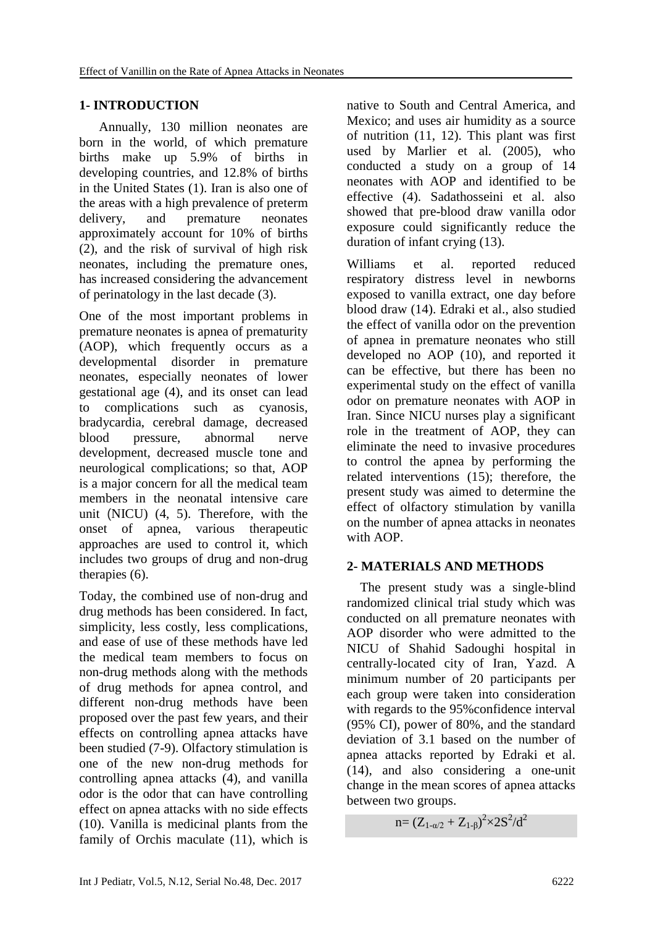## **1- INTRODUCTION**

 Annually, 130 million neonates are born in the world, of which premature births make up 5.9% of births in developing countries, and 12.8% of births in the United States (1). Iran is also one of the areas with a high prevalence of preterm delivery, and premature neonates approximately account for 10% of births (2), and the risk of survival of high risk neonates, including the premature ones, has increased considering the advancement of perinatology in the last decade (3).

One of the most important problems in premature neonates is apnea of prematurity (AOP), which frequently occurs as a developmental disorder in premature neonates, especially neonates of lower gestational age (4), and its onset can lead to complications such as cyanosis, bradycardia, cerebral damage, decreased blood pressure, abnormal nerve development, decreased muscle tone and neurological complications; so that, AOP is a major concern for all the medical team members in the neonatal intensive care unit (NICU) (4, 5). Therefore, with the onset of apnea, various therapeutic approaches are used to control it, which includes two groups of drug and non-drug therapies (6).

Today, the combined use of non-drug and drug methods has been considered. In fact, simplicity, less costly, less complications, and ease of use of these methods have led the medical team members to focus on non-drug methods along with the methods of drug methods for apnea control, and different non-drug methods have been proposed over the past few years, and their effects on controlling apnea attacks have been studied (7-9). Olfactory stimulation is one of the new non-drug methods for controlling apnea attacks (4), and vanilla odor is the odor that can have controlling effect on apnea attacks with no side effects (10). Vanilla is medicinal plants from the family of Orchis maculate (11), which is native to South and Central America, and Mexico; and uses air humidity as a source of nutrition (11, 12). This plant was first used by Marlier et al. (2005), who conducted a study on a group of 14 neonates with AOP and identified to be effective (4). Sadathosseini et al. also showed that pre-blood draw vanilla odor exposure could significantly reduce the duration of infant crying (13).

Williams et al. reported reduced respiratory distress level in newborns exposed to vanilla extract, one day before blood draw (14). Edraki et al., also studied the effect of vanilla odor on the prevention of apnea in premature neonates who still developed no AOP (10), and reported it can be effective, but there has been no experimental study on the effect of vanilla odor on premature neonates with AOP in Iran. Since NICU nurses play a significant role in the treatment of AOP, they can eliminate the need to invasive procedures to control the apnea by performing the related interventions (15); therefore, the present study was aimed to determine the effect of olfactory stimulation by vanilla on the number of apnea attacks in neonates with AOP.

### **2- MATERIALS AND METHODS**

 The present study was a single-blind randomized clinical trial study which was conducted on all premature neonates with AOP disorder who were admitted to the NICU of Shahid Sadoughi hospital in centrally-located city of Iran, Yazd. A minimum number of 20 participants per each group were taken into consideration with regards to the 95%confidence interval (95% CI), power of 80%, and the standard deviation of 3.1 based on the number of apnea attacks reported by Edraki et al. (14), and also considering a one-unit change in the mean scores of apnea attacks between two groups.

 $n = (Z_{1-\alpha/2} + Z_{1-\beta})^2 \times 2S^2/d^2$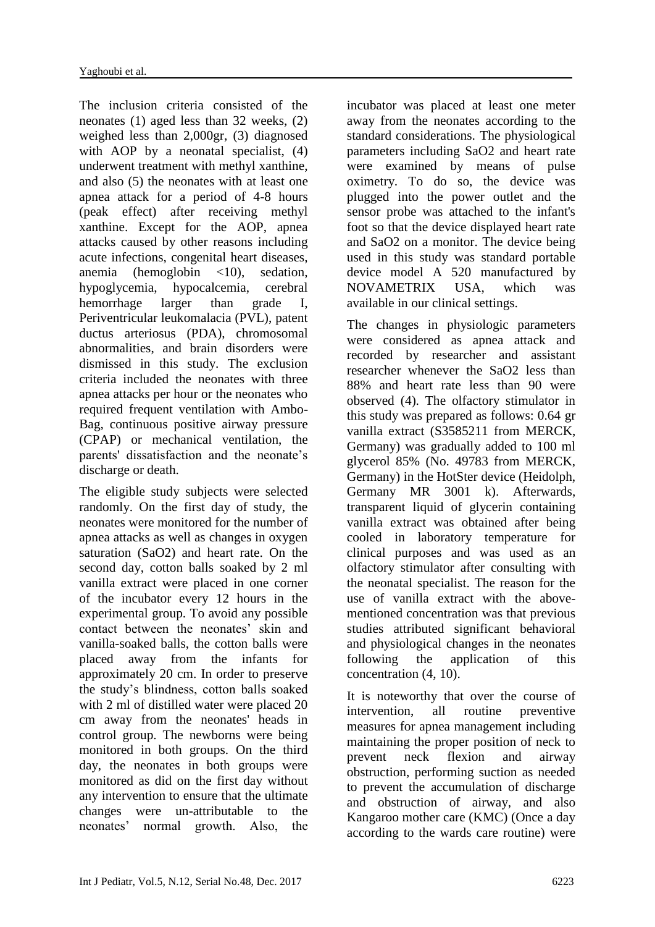The inclusion criteria consisted of the neonates (1) aged less than 32 weeks, (2) weighed less than 2,000gr, (3) diagnosed with AOP by a neonatal specialist, (4) underwent treatment with methyl xanthine, and also (5) the neonates with at least one apnea attack for a period of 4-8 hours (peak effect) after receiving methyl xanthine. Except for the AOP, apnea attacks caused by other reasons including acute infections, congenital heart diseases, anemia (hemoglobin <10), sedation, hypoglycemia, hypocalcemia, cerebral hemorrhage larger than grade I, Periventricular leukomalacia (PVL), patent ductus arteriosus (PDA), chromosomal abnormalities, and brain disorders were dismissed in this study. The exclusion criteria included the neonates with three apnea attacks per hour or the neonates who required frequent ventilation with Ambo-Bag, continuous positive airway pressure (CPAP) or mechanical ventilation, the parents' dissatisfaction and the neonate's discharge or death.

The eligible study subjects were selected randomly. On the first day of study, the neonates were monitored for the number of apnea attacks as well as changes in oxygen saturation (SaO2) and heart rate. On the second day, cotton balls soaked by 2 ml vanilla extract were placed in one corner of the incubator every 12 hours in the experimental group. To avoid any possible contact between the neonates' skin and vanilla-soaked balls, the cotton balls were placed away from the infants for approximately 20 cm. In order to preserve the study's blindness, cotton balls soaked with 2 ml of distilled water were placed 20 cm away from the neonates' heads in control group. The newborns were being monitored in both groups. On the third day, the neonates in both groups were monitored as did on the first day without any intervention to ensure that the ultimate changes were un-attributable to the neonates' normal growth. Also, the

incubator was placed at least one meter away from the neonates according to the standard considerations. The physiological parameters including SaO2 and heart rate were examined by means of pulse oximetry. To do so, the device was plugged into the power outlet and the sensor probe was attached to the infant's foot so that the device displayed heart rate and SaO2 on a monitor. The device being used in this study was standard portable device model A 520 manufactured by NOVAMETRIX USA, which was available in our clinical settings.

The changes in physiologic parameters were considered as apnea attack and recorded by researcher and assistant researcher whenever the SaO2 less than 88% and heart rate less than 90 were observed (4). The olfactory stimulator in this study was prepared as follows: 0.64 gr vanilla extract (S3585211 from MERCK, Germany) was gradually added to 100 ml glycerol 85% (No. 49783 from MERCK, Germany) in the HotSter device (Heidolph, Germany MR 3001 k). Afterwards, transparent liquid of glycerin containing vanilla extract was obtained after being cooled in laboratory temperature for clinical purposes and was used as an olfactory stimulator after consulting with the neonatal specialist. The reason for the use of vanilla extract with the abovementioned concentration was that previous studies attributed significant behavioral and physiological changes in the neonates following the application of this concentration (4, 10).

It is noteworthy that over the course of intervention, all routine preventive measures for apnea management including maintaining the proper position of neck to prevent neck flexion and airway obstruction, performing suction as needed to prevent the accumulation of discharge and obstruction of airway, and also Kangaroo mother care (KMC) (Once a day according to the wards care routine) were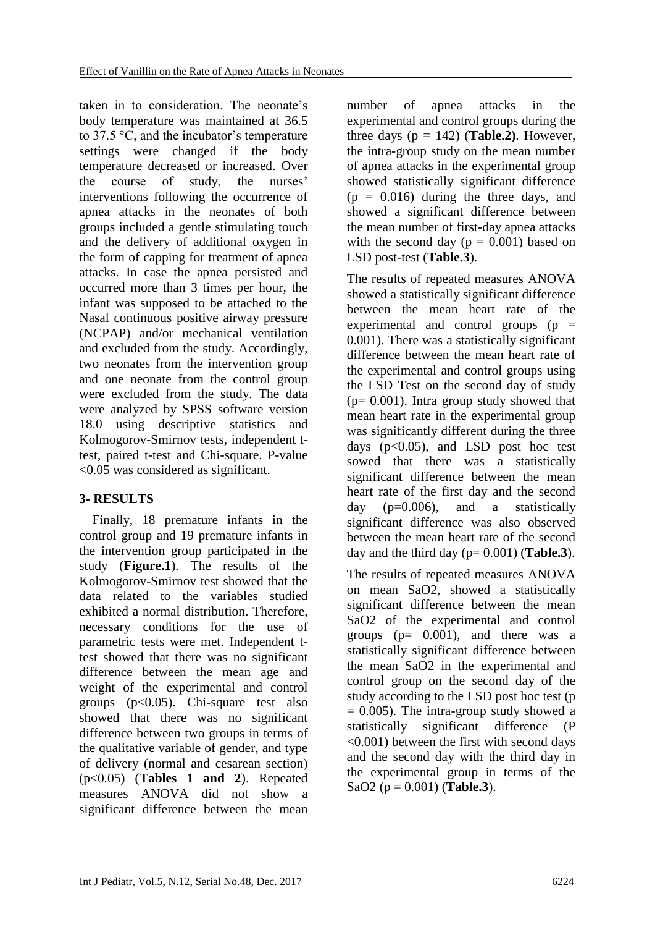taken in to consideration. The neonate's body temperature was maintained at 36.5 to 37.5 °C, and the incubator's temperature settings were changed if the body temperature decreased or increased. Over the course of study, the nurses' interventions following the occurrence of apnea attacks in the neonates of both groups included a gentle stimulating touch and the delivery of additional oxygen in the form of capping for treatment of apnea attacks. In case the apnea persisted and occurred more than 3 times per hour, the infant was supposed to be attached to the Nasal continuous positive airway pressure (NCPAP) and/or mechanical ventilation and excluded from the study. Accordingly, two neonates from the intervention group and one neonate from the control group were excluded from the study. The data were analyzed by SPSS software version 18.0 using descriptive statistics and Kolmogorov-Smirnov tests, independent ttest, paired t-test and Chi-square. P-value <0.05 was considered as significant.

# **3- RESULTS**

 Finally, 18 premature infants in the control group and 19 premature infants in the intervention group participated in the study (**Figure.1**). The results of the Kolmogorov-Smirnov test showed that the data related to the variables studied exhibited a normal distribution. Therefore, necessary conditions for the use of parametric tests were met. Independent ttest showed that there was no significant difference between the mean age and weight of the experimental and control groups  $(p<0.05)$ . Chi-square test also showed that there was no significant difference between two groups in terms of the qualitative variable of gender, and type of delivery (normal and cesarean section) (p<0.05) (**Tables 1 and 2**). Repeated measures ANOVA did not show a significant difference between the mean number of apnea attacks in the experimental and control groups during the three days  $(p = 142)$  (**Table.2**). However, the intra-group study on the mean number of apnea attacks in the experimental group showed statistically significant difference  $(p = 0.016)$  during the three days, and showed a significant difference between the mean number of first-day apnea attacks with the second day  $(p = 0.001)$  based on LSD post-test (**Table.3**).

The results of repeated measures ANOVA showed a statistically significant difference between the mean heart rate of the experimental and control groups ( $p =$ 0.001). There was a statistically significant difference between the mean heart rate of the experimental and control groups using the LSD Test on the second day of study  $(p= 0.001)$ . Intra group study showed that mean heart rate in the experimental group was significantly different during the three days  $(p<0.05)$ , and LSD post hoc test sowed that there was a statistically significant difference between the mean heart rate of the first day and the second day (p=0.006), and a statistically significant difference was also observed between the mean heart rate of the second day and the third day  $(p= 0.001)$  (**Table.3**).

The results of repeated measures ANOVA on mean SaO2, showed a statistically significant difference between the mean SaO2 of the experimental and control groups  $(p= 0.001)$ , and there was a statistically significant difference between the mean SaO2 in the experimental and control group on the second day of the study according to the LSD post hoc test (p  $= 0.005$ ). The intra-group study showed a statistically significant difference (P <0.001) between the first with second days and the second day with the third day in the experimental group in terms of the SaO2 (p = 0.001) (**Table.3**).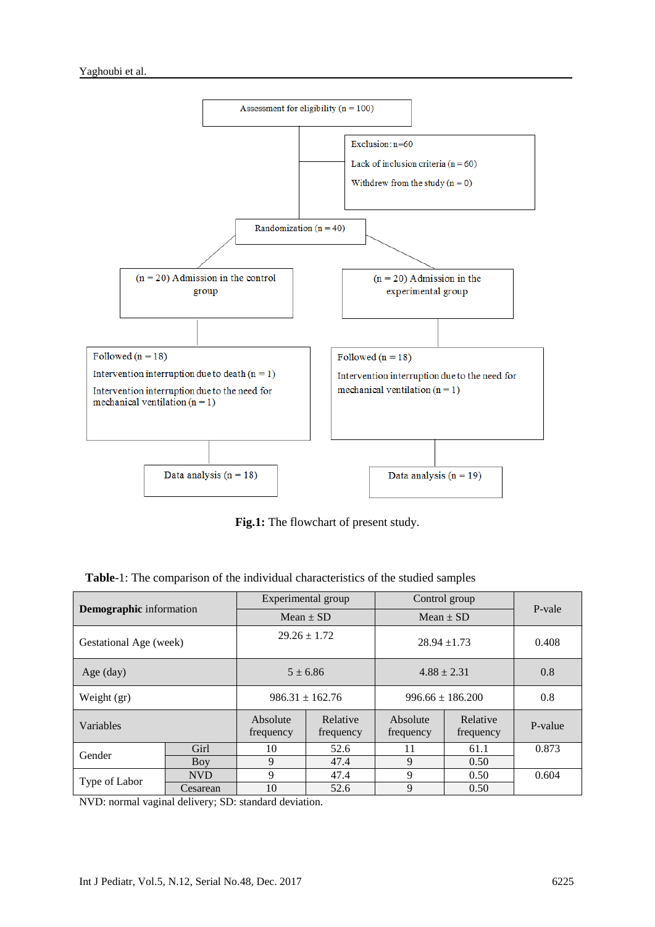

**Fig.1:** The flowchart of present study.

| <b>Table-1:</b> The comparison of the individual characteristics of the studied samples |
|-----------------------------------------------------------------------------------------|
|-----------------------------------------------------------------------------------------|

| <b>Demographic</b> information |            | Experimental group                             |      | Control group         | P-vale                |         |  |
|--------------------------------|------------|------------------------------------------------|------|-----------------------|-----------------------|---------|--|
|                                |            | $Mean \pm SD$                                  |      | $Mean \pm SD$         |                       |         |  |
| Gestational Age (week)         |            | $29.26 \pm 1.72$                               |      | $28.94 \pm 1.73$      |                       | 0.408   |  |
| Age (day)                      |            | $5 \pm 6.86$                                   |      | $4.88 \pm 2.31$       |                       | 0.8     |  |
| Weight (gr)                    |            | $986.31 \pm 162.76$                            |      | $996.66 \pm 186.200$  |                       | 0.8     |  |
| Variables                      |            | Relative<br>Absolute<br>frequency<br>frequency |      | Absolute<br>frequency | Relative<br>frequency | P-value |  |
| Gender                         | Girl       | 10                                             | 52.6 | 11                    | 61.1                  | 0.873   |  |
|                                | Boy        | 9                                              | 47.4 | 9                     | 0.50                  |         |  |
| Type of Labor                  | <b>NVD</b> | 9                                              | 47.4 | 9                     | 0.50                  | 0.604   |  |
|                                | Cesarean   | 10                                             | 52.6 | 9                     | 0.50                  |         |  |

NVD: normal vaginal delivery; SD: standard deviation.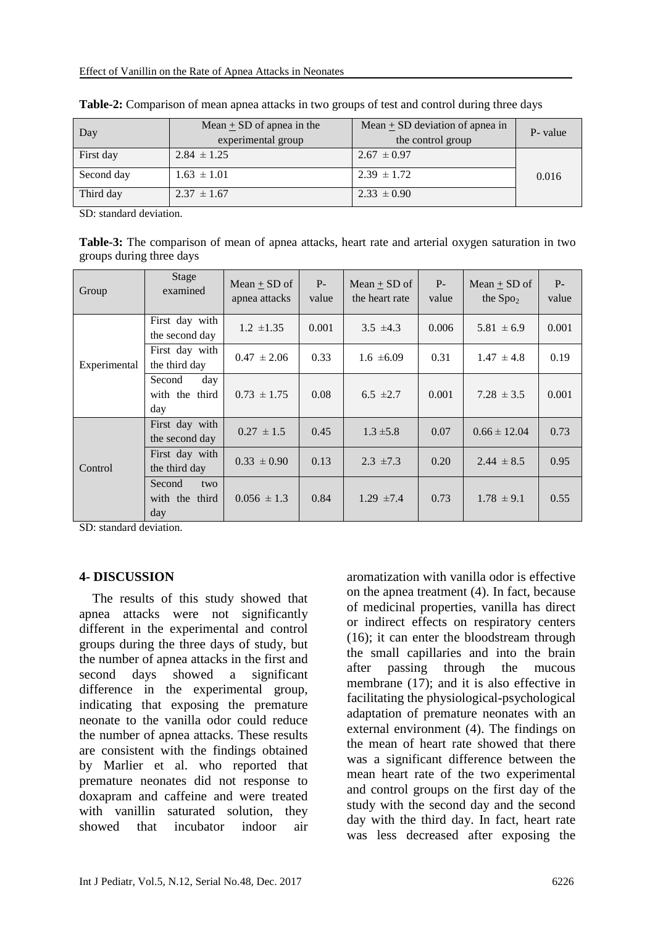| Day        | Mean $+$ SD of apnea in the<br>experimental group | Mean $\pm$ SD deviation of apnea in<br>the control group | P- value |
|------------|---------------------------------------------------|----------------------------------------------------------|----------|
| First day  | $2.84 \pm 1.25$                                   | $2.67 \pm 0.97$                                          |          |
| Second day | $1.63 \pm 1.01$                                   | $2.39 \pm 1.72$                                          | 0.016    |
| Third day  | $2.37 \pm 1.67$                                   | $2.33 \pm 0.90$                                          |          |

**Table-2:** Comparison of mean apnea attacks in two groups of test and control during three days

SD: standard deviation.

**Table-3:** The comparison of mean of apnea attacks, heart rate and arterial oxygen saturation in two groups during three days

| Group        | Stage<br>examined                      | $Mean + SD of$<br>apnea attacks | $P-$<br>value | $Mean + SD of$<br>the heart rate | $P-$<br>value | $Mean + SD of$<br>the $Spo2$ | $P-$<br>value |
|--------------|----------------------------------------|---------------------------------|---------------|----------------------------------|---------------|------------------------------|---------------|
| Experimental | First day with<br>the second day       | $1.2 \pm 1.35$                  | 0.001         | $3.5 \pm 4.3$                    | 0.006         | $5.81 \pm 6.9$               | 0.001         |
|              | First day with<br>the third day        | $0.47 \pm 2.06$                 | 0.33          | $1.6 \pm 6.09$                   | 0.31          | $1.47 \pm 4.8$               | 0.19          |
|              | Second<br>day<br>with the third<br>day | $0.73 \pm 1.75$                 | 0.08          | $6.5 \pm 2.7$                    | 0.001         | $7.28 \pm 3.5$               | 0.001         |
| Control      | First day with<br>the second day       | $0.27 \pm 1.5$                  | 0.45          | $1.3 \pm 5.8$                    | 0.07          | $0.66 \pm 12.04$             | 0.73          |
|              | First day with<br>the third day        | $0.33 \pm 0.90$                 | 0.13          | $2.3 \pm 7.3$                    | 0.20          | $2.44 \pm 8.5$               | 0.95          |
|              | Second<br>two<br>with the third<br>day | $0.056 \pm 1.3$                 | 0.84          | $1.29 \pm 7.4$                   | 0.73          | $1.78 \pm 9.1$               | 0.55          |

SD: standard deviation.

#### **4- DISCUSSION**

 The results of this study showed that apnea attacks were not significantly different in the experimental and control groups during the three days of study, but the number of apnea attacks in the first and second days showed a significant difference in the experimental group, indicating that exposing the premature neonate to the vanilla odor could reduce the number of apnea attacks. These results are consistent with the findings obtained by Marlier et al. who reported that premature neonates did not response to doxapram and caffeine and were treated with vanillin saturated solution, they showed that incubator indoor air aromatization with vanilla odor is effective on the apnea treatment (4). In fact, because of medicinal properties, vanilla has direct or indirect effects on respiratory centers (16); it can enter the bloodstream through the small capillaries and into the brain after passing through the mucous membrane (17); and it is also effective in facilitating the physiological-psychological adaptation of premature neonates with an external environment (4). The findings on the mean of heart rate showed that there was a significant difference between the mean heart rate of the two experimental and control groups on the first day of the study with the second day and the second day with the third day. In fact, heart rate was less decreased after exposing the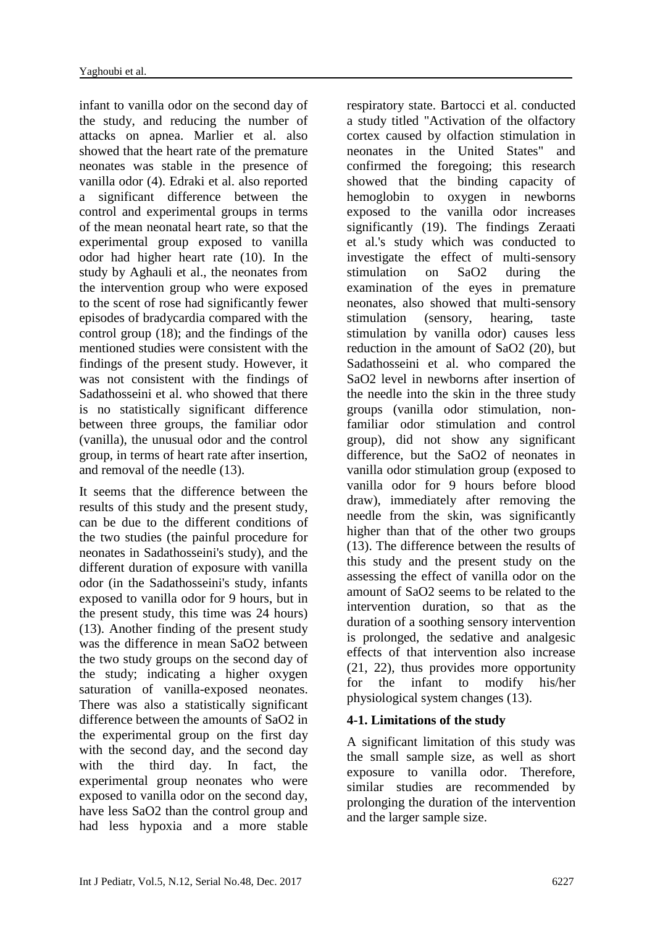infant to vanilla odor on the second day of the study, and reducing the number of attacks on apnea. Marlier et al. also showed that the heart rate of the premature neonates was stable in the presence of vanilla odor (4). Edraki et al. also reported a significant difference between the control and experimental groups in terms of the mean neonatal heart rate, so that the experimental group exposed to vanilla odor had higher heart rate (10). In the study by Aghauli et al., the neonates from the intervention group who were exposed to the scent of rose had significantly fewer episodes of bradycardia compared with the control group (18); and the findings of the mentioned studies were consistent with the findings of the present study. However, it was not consistent with the findings of Sadathosseini et al. who showed that there is no statistically significant difference between three groups, the familiar odor (vanilla), the unusual odor and the control group, in terms of heart rate after insertion, and removal of the needle (13).

It seems that the difference between the results of this study and the present study, can be due to the different conditions of the two studies (the painful procedure for neonates in Sadathosseini's study), and the different duration of exposure with vanilla odor (in the Sadathosseini's study, infants exposed to vanilla odor for 9 hours, but in the present study, this time was 24 hours) (13). Another finding of the present study was the difference in mean SaO2 between the two study groups on the second day of the study; indicating a higher oxygen saturation of vanilla-exposed neonates. There was also a statistically significant difference between the amounts of SaO2 in the experimental group on the first day with the second day, and the second day with the third day. In fact, the experimental group neonates who were exposed to vanilla odor on the second day, have less SaO2 than the control group and had less hypoxia and a more stable respiratory state. Bartocci et al. conducted a study titled "Activation of the olfactory cortex caused by olfaction stimulation in neonates in the United States" and confirmed the foregoing; this research showed that the binding capacity of hemoglobin to oxygen in newborns exposed to the vanilla odor increases significantly (19). The findings Zeraati et al.'s study which was conducted to investigate the effect of multi-sensory stimulation on SaO2 during the examination of the eyes in premature neonates, also showed that multi-sensory stimulation (sensory, hearing, taste stimulation by vanilla odor) causes less reduction in the amount of SaO2 (20), but Sadathosseini et al. who compared the SaO2 level in newborns after insertion of the needle into the skin in the three study groups (vanilla odor stimulation, nonfamiliar odor stimulation and control group), did not show any significant difference, but the SaO2 of neonates in vanilla odor stimulation group (exposed to vanilla odor for 9 hours before blood draw), immediately after removing the needle from the skin, was significantly higher than that of the other two groups (13). The difference between the results of this study and the present study on the assessing the effect of vanilla odor on the amount of SaO2 seems to be related to the intervention duration, so that as the duration of a soothing sensory intervention is prolonged, the sedative and analgesic effects of that intervention also increase (21, 22), thus provides more opportunity for the infant to modify his/her physiological system changes (13).

### **4-1. Limitations of the study**

A significant limitation of this study was the small sample size, as well as short exposure to vanilla odor. Therefore, similar studies are recommended by prolonging the duration of the intervention and the larger sample size.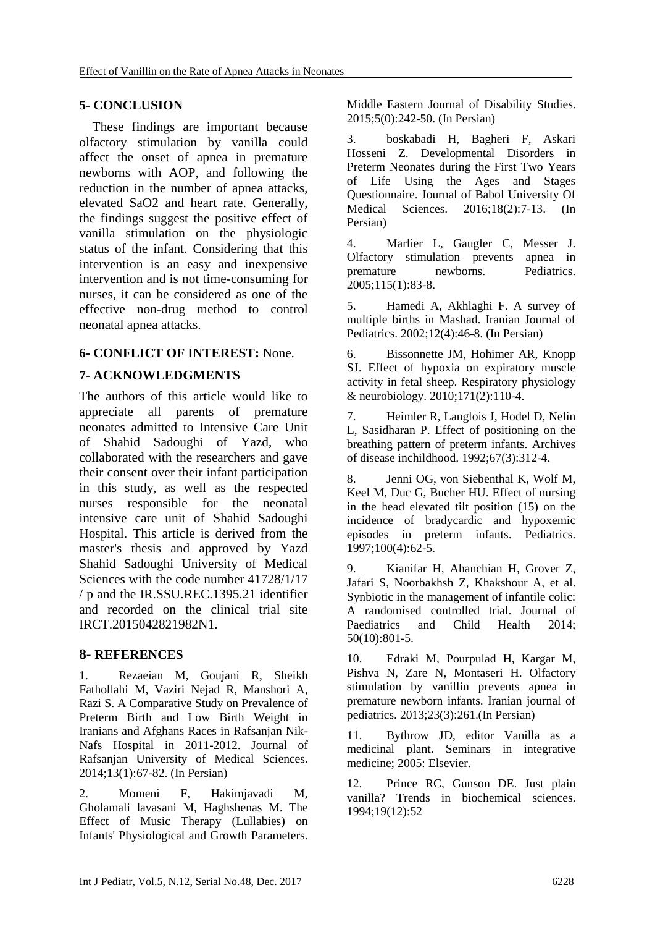### **5- CONCLUSION**

 These findings are important because olfactory stimulation by vanilla could affect the onset of apnea in premature newborns with AOP, and following the reduction in the number of apnea attacks, elevated SaO2 and heart rate. Generally, the findings suggest the positive effect of vanilla stimulation on the physiologic status of the infant. Considering that this intervention is an easy and inexpensive intervention and is not time-consuming for nurses, it can be considered as one of the effective non-drug method to control neonatal apnea attacks.

### **6- CONFLICT OF INTEREST:** None.

### **7- ACKNOWLEDGMENTS**

The authors of this article would like to appreciate all parents of premature neonates admitted to Intensive Care Unit of Shahid Sadoughi of Yazd, who collaborated with the researchers and gave their consent over their infant participation in this study, as well as the respected nurses responsible for the neonatal intensive care unit of Shahid Sadoughi Hospital. This article is derived from the master's thesis and approved by Yazd Shahid Sadoughi University of Medical Sciences with the code number 41728/1/17 / p and the IR.SSU.REC.1395.21 identifier and recorded on the clinical trial site IRCT.2015042821982N1.

#### **8- REFERENCES**

1. Rezaeian M, Goujani R, Sheikh Fathollahi M, Vaziri Nejad R, Manshori A, Razi S. A Comparative Study on Prevalence of Preterm Birth and Low Birth Weight in Iranians and Afghans Races in Rafsanjan Nik-Nafs Hospital in 2011-2012. Journal of Rafsanjan University of Medical Sciences. 2014;13(1):67-82. (In Persian)

2. Momeni F, Hakimjavadi M, Gholamali lavasani M, Haghshenas M. The Effect of Music Therapy (Lullabies) on Infants' Physiological and Growth Parameters.

Middle Eastern Journal of Disability Studies. 2015;5(0):242-50. (In Persian)

3. boskabadi H, Bagheri F, Askari Hosseni Z. Developmental Disorders in Preterm Neonates during the First Two Years of Life Using the Ages and Stages Questionnaire. Journal of Babol University Of Medical Sciences. 2016;18(2):7-13. (In Persian)

4. Marlier L, Gaugler C, Messer J. Olfactory stimulation prevents apnea in<br>
premature newborns. Pediatrics. premature newborns. 2005;115(1):83-8.

5. Hamedi A, Akhlaghi F. A survey of multiple births in Mashad. Iranian Journal of Pediatrics. 2002;12(4):46-8. (In Persian)

6. Bissonnette JM, Hohimer AR, Knopp SJ. Effect of hypoxia on expiratory muscle activity in fetal sheep. Respiratory physiology & neurobiology. 2010;171(2):110-4.

7. Heimler R, Langlois J, Hodel D, Nelin L, Sasidharan P. Effect of positioning on the breathing pattern of preterm infants. Archives of disease inchildhood. 1992;67(3):312-4.

8. Jenni OG, von Siebenthal K, Wolf M, Keel M, Duc G, Bucher HU. Effect of nursing in the head elevated tilt position (15) on the incidence of bradycardic and hypoxemic episodes in preterm infants. Pediatrics. 1997;100(4):62-5.

9. [Kianifar H,](https://www.scopus.com/authid/detail.uri?authorId=29067925900&eid=2-s2.0-84908247473) [Ahanchian H,](https://www.scopus.com/authid/detail.uri?authorId=21833701600&eid=2-s2.0-84908247473) [Grover Z,](https://www.scopus.com/authid/detail.uri?authorId=16301181100&eid=2-s2.0-84908247473) [Jafari S,](https://www.scopus.com/authid/detail.uri?authorId=55442873400&eid=2-s2.0-84908247473) [Noorbakhsh Z,](https://www.scopus.com/authid/detail.uri?authorId=56222140900&eid=2-s2.0-84908247473) [Khakshour A,](https://www.scopus.com/authid/detail.uri?authorId=55550328600&eid=2-s2.0-84908247473) et al. Synbiotic in the management of infantile colic: A randomised controlled trial. [Journal of](https://www.scopus.com/sourceid/15108?origin=recordpage)  [Paediatrics and Child Health](https://www.scopus.com/sourceid/15108?origin=recordpage) 2014; 50(10):801-5.

10. Edraki M, Pourpulad H, Kargar M, Pishva N, Zare N, Montaseri H. Olfactory stimulation by vanillin prevents apnea in premature newborn infants. Iranian journal of pediatrics. 2013;23(3):261.(In Persian)

11. Bythrow JD, editor Vanilla as a medicinal plant. Seminars in integrative medicine; 2005: Elsevier.

12. Prince RC, Gunson DE. Just plain vanilla? Trends in biochemical sciences. 1994;19(12):52